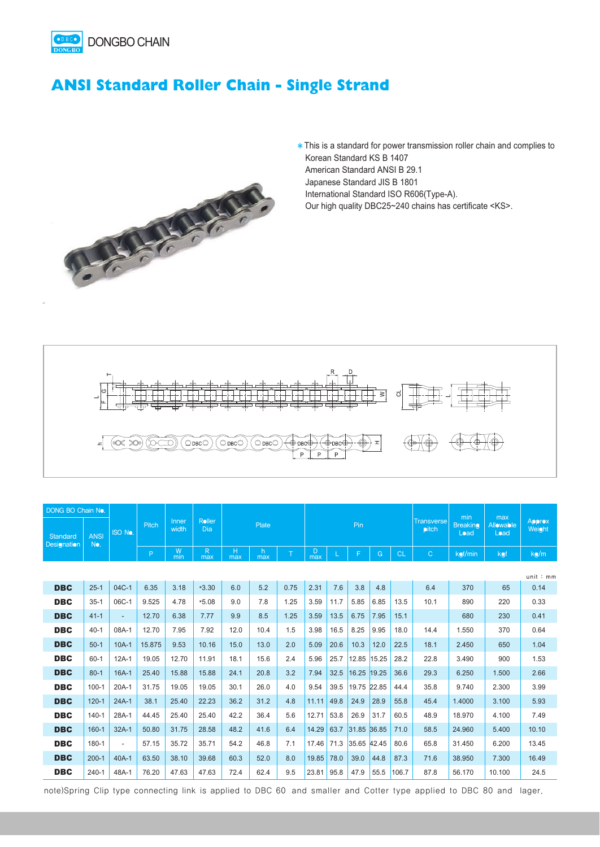

## **ANSI Standard Roller Chain - Single Strand**



\* This is a standard for power transmission roller chain and complies to Korean Standard KS B 1407 American Standard ANSI B 29.1 Japanese Standard JIS B 1801 International Standard ISO R606(Type-A).

Our high quality DBC25~240 chains has certificate <KS>.



| DONG BO Chain No.       |                    |                          |        |                |                      |          |           |      |          |      |             |       | min       | max                               |                         |                          |                         |
|-------------------------|--------------------|--------------------------|--------|----------------|----------------------|----------|-----------|------|----------|------|-------------|-------|-----------|-----------------------------------|-------------------------|--------------------------|-------------------------|
| Standard<br>Designation | <b>ANSI</b><br>No. | <b>ISO No.</b>           | Pitch  | Inner<br>width | Roller<br><b>Dia</b> | Plate    |           |      | Pin      |      |             |       |           | <b>Transverse</b><br><b>pitch</b> | <b>Breaking</b><br>Load | <b>Allowable</b><br>Load | <b>Approx</b><br>Weight |
|                         |                    |                          | P      | W<br>min       | R<br>max             | н<br>max | h.<br>max | T    | D<br>max |      | F           | G     | <b>CL</b> | $\mathsf{C}$                      | kgf/min                 | kgf                      | kg/m                    |
|                         |                    |                          |        |                |                      |          |           |      |          |      |             |       |           |                                   |                         |                          | unit:mm                 |
| <b>DBC</b>              | $25 - 1$           | $04C-1$                  | 6.35   | 3.18           | $*3.30$              | 6.0      | 5.2       | 0.75 | 2.31     | 7.6  | 3.8         | 4.8   |           | 6.4                               | 370                     | 65                       | 0.14                    |
| <b>DBC</b>              | $35 - 1$           | 06C-1                    | 9.525  | 4.78           | $*5.08$              | 9.0      | 7.8       | 1.25 | 3.59     | 11.7 | 5.85        | 6.85  | 13.5      | 10.1                              | 890                     | 220                      | 0.33                    |
| <b>DBC</b>              | $41 - 1$           | ÷.                       | 12.70  | 6.38           | 7.77                 | 9.9      | 8.5       | 1.25 | 3.59     | 13.5 | 6.75        | 7.95  | 15.1      |                                   | 680                     | 230                      | 0.41                    |
| <b>DBC</b>              | $40 - 1$           | 08A-1                    | 12.70  | 7.95           | 7.92                 | 12.0     | 10.4      | 1.5  | 3.98     | 16.5 | 8.25        | 9.95  | 18.0      | 14.4                              | 1.550                   | 370                      | 0.64                    |
| <b>DBC</b>              | $50-1$             | $10A-1$                  | 15.875 | 9.53           | 10.16                | 15.0     | 13.0      | 2.0  | 5.09     | 20.6 | 10.3        | 12.0  | 22.5      | 18.1                              | 2.450                   | 650                      | 1.04                    |
| <b>DBC</b>              | $60 - 1$           | $12A-1$                  | 19.05  | 12.70          | 11.91                | 18.1     | 15.6      | 2.4  | 5.96     | 25.7 | 12.85       | 15.25 | 28.2      | 22.8                              | 3.490                   | 900                      | 1.53                    |
| <b>DBC</b>              | $80 - 1$           | $16A-1$                  | 25.40  | 15.88          | 15.88                | 24.1     | 20.8      | 3.2  | 7.94     | 32.5 | 16.25       | 19.25 | 36.6      | 29.3                              | 6.250                   | 1.500                    | 2.66                    |
| <b>DBC</b>              | $100 - 1$          | $20A-1$                  | 31.75  | 19.05          | 19.05                | 30.1     | 26.0      | 4.0  | 9.54     | 39.5 | 19.75       | 22.85 | 44.4      | 35.8                              | 9.740                   | 2.300                    | 3.99                    |
| <b>DBC</b>              | $120 - 1$          | $24A-1$                  | 38.1   | 25.40          | 22.23                | 36.2     | 31.2      | 4.8  | 11.11    | 49.8 | 24.9        | 28.9  | 55.8      | 45.4                              | 1.4000                  | 3.100                    | 5.93                    |
| <b>DBC</b>              | $140 - 1$          | 28A-1                    | 44.45  | 25.40          | 25.40                | 42.2     | 36.4      | 5.6  | 12.71    | 53.8 | 26.9        | 31.7  | 60.5      | 48.9                              | 18.970                  | 4.100                    | 7.49                    |
| <b>DBC</b>              | $160 - 1$          | $32A-1$                  | 50.80  | 31.75          | 28.58                | 48.2     | 41.6      | 6.4  | 14.29    | 63.7 | 31.85 36.85 |       | 71.0      | 58.5                              | 24.960                  | 5.400                    | 10.10                   |
| <b>DBC</b>              | 180-1              | $\overline{\phantom{0}}$ | 57.15  | 35.72          | 35.71                | 54.2     | 46.8      | 7.1  | 17.46    | 71.3 | 35.65 42.45 |       | 80.6      | 65.8                              | 31.450                  | 6.200                    | 13.45                   |
| <b>DBC</b>              | $200 - 1$          | $40A-1$                  | 63.50  | 38.10          | 39.68                | 60.3     | 52.0      | 8.0  | 19.85    | 78.0 | 39.0        | 44.8  | 87.3      | 71.6                              | 38.950                  | 7.300                    | 16.49                   |
| <b>DBC</b>              | $240 - 1$          | 48A-1                    | 76.20  | 47.63          | 47.63                | 72.4     | 62.4      | 9.5  | 23.81    | 95.8 | 47.9        | 55.5  | 106.7     | 87.8                              | 56.170                  | 10.100                   | 24.5                    |

note)Spring Clip type connecting link is applied to DBC 60 and smaller and Cotter type applied to DBC 80 and lager.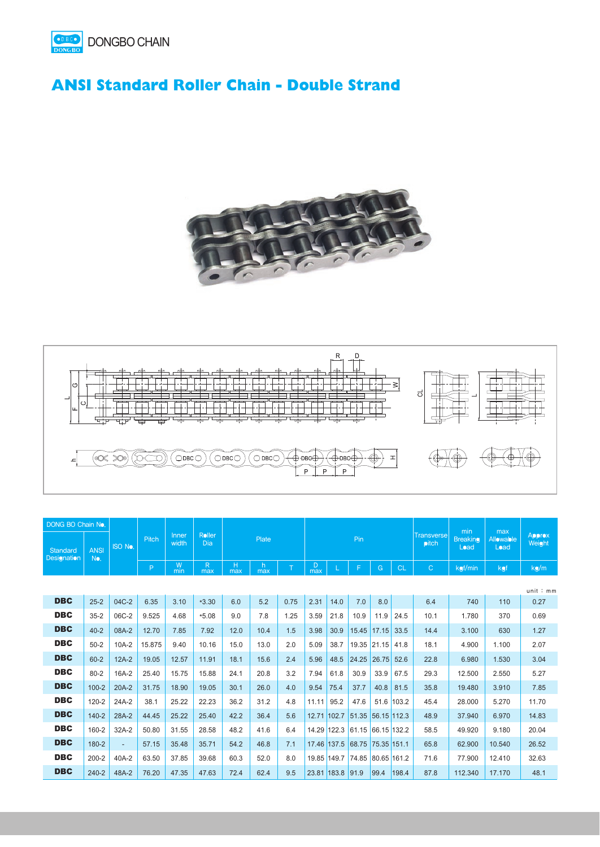

## **ANSI Standard Roller Chain - Double Strand**





| DONG BO Chain No.       |                    |                |        |                |               |              |           |      |             |                  |       |             |            |                        |                         |                          |                         |  |  |  |  | min | max |  |
|-------------------------|--------------------|----------------|--------|----------------|---------------|--------------|-----------|------|-------------|------------------|-------|-------------|------------|------------------------|-------------------------|--------------------------|-------------------------|--|--|--|--|-----|-----|--|
| Standard<br>Designation | <b>ANSI</b><br>No. | <b>ISO No.</b> | Pitch  | Inner<br>width | Roller<br>Dia | <b>Plate</b> |           |      |             |                  | Pin   |             |            | Transverse<br>$p$ itch | <b>Breaking</b><br>Load | <b>Allowable</b><br>Load | <b>Approx</b><br>Weight |  |  |  |  |     |     |  |
|                         |                    |                | P      | W<br>min       | R<br>max      | н<br>max     | h.<br>max | T    | D<br>max    |                  | F     | G           | <b>CL</b>  | $\mathsf{C}$           | kgf/min                 | kgf                      | kg/m                    |  |  |  |  |     |     |  |
|                         |                    |                |        |                |               |              |           |      |             |                  |       |             |            |                        |                         |                          | unit:mm                 |  |  |  |  |     |     |  |
| <b>DBC</b>              | $25 - 2$           | 04C-2          | 6.35   | 3.10           | $*3.30$       | 6.0          | 5.2       | 0.75 | 2.31        | 14.0             | 7.0   | 8.0         |            | 6.4                    | 740                     | 110                      | 0.27                    |  |  |  |  |     |     |  |
| <b>DBC</b>              | $35 - 2$           | 06C-2          | 9.525  | 4.68           | $*5.08$       | 9.0          | 7.8       | 1.25 | 3.59        | 21.8             | 10.9  | 11.9        | 24.5       | 10.1                   | 1.780                   | 370                      | 0.69                    |  |  |  |  |     |     |  |
| <b>DBC</b>              | $40 - 2$           | 08A-2          | 12.70  | 7.85           | 7.92          | 12.0         | 10.4      | 1.5  | 3.98        | 30.9             | 15.45 | 17.15       | 33.5       | 14.4                   | 3.100                   | 630                      | 1.27                    |  |  |  |  |     |     |  |
| <b>DBC</b>              | $50 - 2$           | $10A-2$        | 15.875 | 9.40           | 10.16         | 15.0         | 13.0      | 2.0  | 5.09        | 38.7             | 19.35 | 21.15       | 41.8       | 18.1                   | 4.900                   | 1.100                    | 2.07                    |  |  |  |  |     |     |  |
| <b>DBC</b>              | $60 - 2$           | $12A-2$        | 19.05  | 12.57          | 11.91         | 18.1         | 15.6      | 2.4  | 5.96        | 48.5             | 24.25 | 26.75       | 52.6       | 22.8                   | 6.980                   | 1.530                    | 3.04                    |  |  |  |  |     |     |  |
| <b>DBC</b>              | $80 - 2$           | 16A-2          | 25.40  | 15.75          | 15.88         | 24.1         | 20.8      | 3.2  | 7.94        | 61.8             | 30.9  | 33.9        | 67.5       | 29.3                   | 12.500                  | 2.550                    | 5.27                    |  |  |  |  |     |     |  |
| <b>DBC</b>              | $100 - 2$          | $20A-2$        | 31.75  | 18.90          | 19.05         | 30.1         | 26.0      | 4.0  | 9.54        | 75.4             | 37.7  | 40.8        | 81.5       | 35.8                   | 19.480                  | 3.910                    | 7.85                    |  |  |  |  |     |     |  |
| <b>DBC</b>              | $120 - 2$          | 24A-2          | 38.1   | 25.22          | 22.23         | 36.2         | 31.2      | 4.8  | 11.11       | 95.2             | 47.6  |             | 51.6 103.2 | 45.4                   | 28.000                  | 5.270                    | 11.70                   |  |  |  |  |     |     |  |
| <b>DBC</b>              | $140 - 2$          | 28A-2          | 44.45  | 25.22          | 25.40         | 42.2         | 36.4      | 5.6  | 12.71 102.7 |                  | 51.35 | 56.15 112.3 |            | 48.9                   | 37.940                  | 6.970                    | 14.83                   |  |  |  |  |     |     |  |
| <b>DBC</b>              | 160-2              | $32A-2$        | 50.80  | 31.55          | 28.58         | 48.2         | 41.6      | 6.4  | 14.29 122.3 |                  | 61.15 | 66.15 132.2 |            | 58.5                   | 49.920                  | 9.180                    | 20.04                   |  |  |  |  |     |     |  |
| <b>DBC</b>              | 180-2              | ٠.             | 57.15  | 35.48          | 35.71         | 54.2         | 46.8      | 7.1  | 17.46 137.5 |                  | 68.75 | 75.35 151.1 |            | 65.8                   | 62.900                  | 10.540                   | 26.52                   |  |  |  |  |     |     |  |
| <b>DBC</b>              | $200 - 2$          | 40A-2          | 63.50  | 37.85          | 39.68         | 60.3         | 52.0      | 8.0  | 19.85 149.7 |                  | 74.85 | 80.65 161.2 |            | 71.6                   | 77.900                  | 12.410                   | 32.63                   |  |  |  |  |     |     |  |
| <b>DBC</b>              | $240 - 2$          | 48A-2          | 76.20  | 47.35          | 47.63         | 72.4         | 62.4      | 9.5  |             | 23.81 183.8 91.9 |       | 99.4        | 198.4      | 87.8                   | 112.340                 | 17.170                   | 48.1                    |  |  |  |  |     |     |  |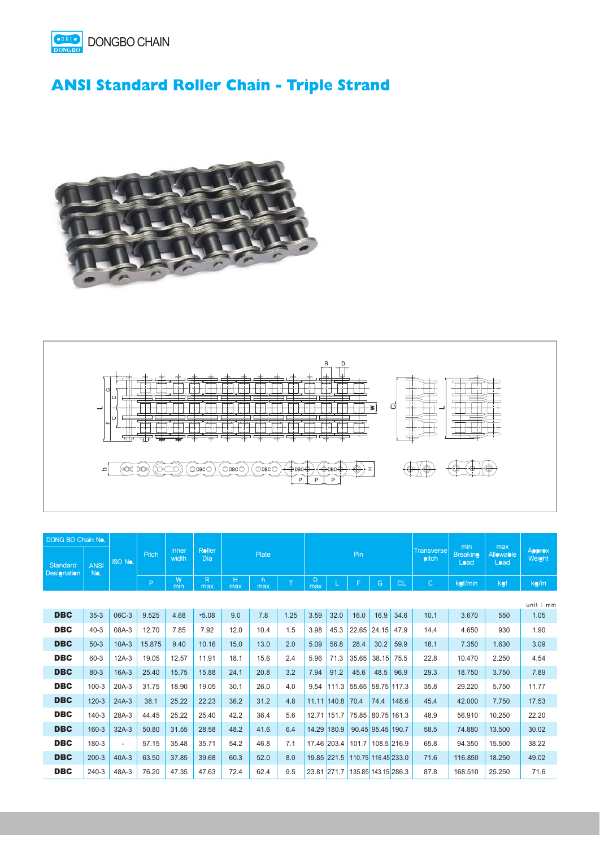

## **ANSI Standard Roller Chain - Triple Strand**





| <b>DONG BO Chain No.</b>       |                    |                |        |                |               |          |           |      |             |             |       |                                   | min                     |                                 |                         |        |         |
|--------------------------------|--------------------|----------------|--------|----------------|---------------|----------|-----------|------|-------------|-------------|-------|-----------------------------------|-------------------------|---------------------------------|-------------------------|--------|---------|
| Standard<br><b>Designation</b> | <b>ANSI</b><br>No. | <b>ISO No.</b> | Pitch  | Inner<br>width | Roller<br>Dia |          |           |      | Pin         |             |       | <b>Transverse</b><br><b>pitch</b> | <b>Breaking</b><br>Load | max<br><b>Allowable</b><br>Load | <b>Approx</b><br>Weight |        |         |
|                                |                    |                | P.     | W<br>min       | R.<br>max     | H<br>max | h.<br>max | T    | D<br>max    |             |       | G                                 | <b>CL</b>               | Ċ                               | kgf/min                 | kgf    | kg/m    |
|                                |                    |                |        |                |               |          |           |      |             |             |       |                                   |                         |                                 |                         |        | unit:mm |
| <b>DBC</b>                     | $35-3$             | 06C-3          | 9.525  | 4.68           | $*5.08$       | 9.0      | 7.8       | 1.25 | 3.59        | 32.0        | 16.0  | 16.9                              | 34.6                    | 10.1                            | 3.670                   | 550    | 1.05    |
| <b>DBC</b>                     | $40 - 3$           | 08A-3          | 12.70  | 7.85           | 7.92          | 12.0     | 10.4      | 1.5  | 3.98        | 45.3        | 22.65 | 24.15                             | 47.9                    | 14.4                            | 4.650                   | 930    | 1.90    |
| <b>DBC</b>                     | $50-3$             | $10A-3$        | 15.875 | 9.40           | 10.16         | 15.0     | 13.0      | 2.0  | 5.09        | 56.8        | 28.4  | 30.2                              | 59.9                    | 18.1                            | 7.350                   | 1.630  | 3.09    |
| <b>DBC</b>                     | $60 - 3$           | $12A-3$        | 19.05  | 12.57          | 11.91         | 18.1     | 15.6      | 2.4  | 5.96        | 71.3        | 35.65 | 38.15                             | 75.5                    | 22.8                            | 10.470                  | 2.250  | 4.54    |
| <b>DBC</b>                     | $80 - 3$           | $16A-3$        | 25.40  | 15.75          | 15.88         | 24.1     | 20.8      | 3.2  | 7.94        | 91.2        | 45.6  | 48.5                              | 96.9                    | 29.3                            | 18.750                  | 3.750  | 7.89    |
| <b>DBC</b>                     | $100 - 3$          | $20A-3$        | 31.75  | 18.90          | 19.05         | 30.1     | 26.0      | 4.0  | 9.54        | 111.3       | 55.65 | 58.75 117.3                       |                         | 35.8                            | 29.220                  | 5.750  | 11.77   |
| <b>DBC</b>                     | $120 - 3$          | $24A-3$        | 38.1   | 25.22          | 22.23         | 36.2     | 31.2      | 4.8  |             | 11.11 140.8 | 70.4  | 74.4                              | 148.6                   | 45.4                            | 42.000                  | 7.750  | 17.53   |
| <b>DBC</b>                     | $140-3$            | 28A-3          | 44.45  | 25.22          | 25.40         | 42.2     | 36.4      | 5.6  |             | 12.71 151.7 | 75.85 | 80.75 161.3                       |                         | 48.9                            | 56.910                  | 10.250 | 22.20   |
| <b>DBC</b>                     | $160 - 3$          | $32A-3$        | 50.80  | 31.55          | 28.58         | 48.2     | 41.6      | 6.4  | 14.29 180.9 |             |       | 90.45 95.45 190.7                 |                         | 58.5                            | 74.880                  | 13.500 | 30.02   |
| <b>DBC</b>                     | 180-3              | $\sim$         | 57.15  | 35.48          | 35.71         | 54.2     | 46.8      | 7.1  | 17.46 203.4 |             | 101.7 | 108.5 216.9                       |                         | 65.8                            | 94.350                  | 15.500 | 38.22   |
| <b>DBC</b>                     | $200 - 3$          | $40A-3$        | 63.50  | 37.85          | 39.68         | 60.3     | 52.0      | 8.0  |             | 19.85 221.5 |       | 110.75 116.45 233.0               |                         | 71.6                            | 116.850                 | 18.250 | 49.02   |
| <b>DBC</b>                     | $240 - 3$          | 48A-3          | 76.20  | 47.35          | 47.63         | 72.4     | 62.4      | 9.5  | 23.81 271.7 |             |       | 135.85 143.15 286.3               |                         | 87.8                            | 168.510                 | 25.250 | 71.6    |